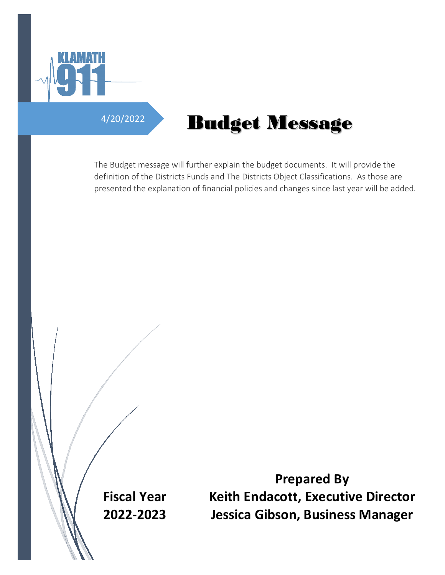

# 4/20/2022 **Budget Message**

The Budget message will further explain the budget documents. It will provide the definition of the Districts Funds and The Districts Object Classifications. As those are presented the explanation of financial policies and changes since last year will be added.

**Fiscal Year 2022-2023**

**Prepared By Keith Endacott, Executive Director Jessica Gibson, Business Manager**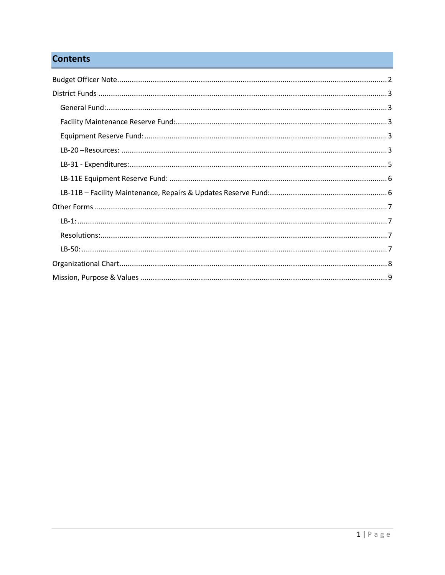# **Contents**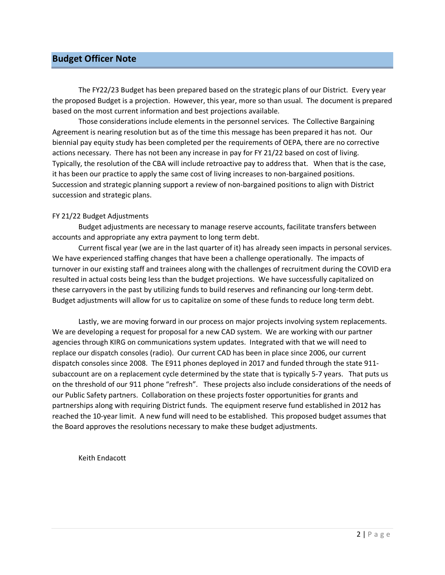## <span id="page-2-0"></span>**Budget Officer Note**

The FY22/23 Budget has been prepared based on the strategic plans of our District. Every year the proposed Budget is a projection. However, this year, more so than usual. The document is prepared based on the most current information and best projections available.

Those considerations include elements in the personnel services. The Collective Bargaining Agreement is nearing resolution but as of the time this message has been prepared it has not. Our biennial pay equity study has been completed per the requirements of OEPA, there are no corrective actions necessary. There has not been any increase in pay for FY 21/22 based on cost of living. Typically, the resolution of the CBA will include retroactive pay to address that. When that is the case, it has been our practice to apply the same cost of living increases to non-bargained positions. Succession and strategic planning support a review of non-bargained positions to align with District succession and strategic plans.

#### FY 21/22 Budget Adjustments

Budget adjustments are necessary to manage reserve accounts, facilitate transfers between accounts and appropriate any extra payment to long term debt.

Current fiscal year (we are in the last quarter of it) has already seen impacts in personal services. We have experienced staffing changes that have been a challenge operationally. The impacts of turnover in our existing staff and trainees along with the challenges of recruitment during the COVID era resulted in actual costs being less than the budget projections. We have successfully capitalized on these carryovers in the past by utilizing funds to build reserves and refinancing our long-term debt. Budget adjustments will allow for us to capitalize on some of these funds to reduce long term debt.

Lastly, we are moving forward in our process on major projects involving system replacements. We are developing a request for proposal for a new CAD system. We are working with our partner agencies through KIRG on communications system updates. Integrated with that we will need to replace our dispatch consoles (radio). Our current CAD has been in place since 2006, our current dispatch consoles since 2008. The E911 phones deployed in 2017 and funded through the state 911 subaccount are on a replacement cycle determined by the state that is typically 5-7 years. That puts us on the threshold of our 911 phone "refresh". These projects also include considerations of the needs of our Public Safety partners. Collaboration on these projects foster opportunities for grants and partnerships along with requiring District funds. The equipment reserve fund established in 2012 has reached the 10-year limit. A new fund will need to be established. This proposed budget assumes that the Board approves the resolutions necessary to make these budget adjustments.

Keith Endacott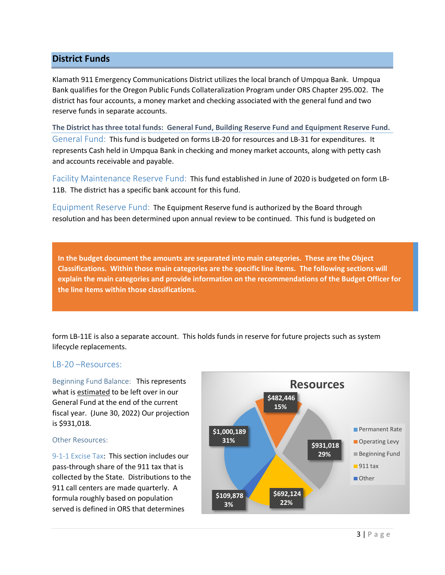# <span id="page-3-0"></span>**District Funds**

Klamath 911 Emergency Communications District utilizes the local branch of Umpqua Bank. Umpqua Bank qualifies for the Oregon Public Funds Collateralization Program under ORS Chapter 295.002. The district has four accounts, a money market and checking associated with the general fund and two reserve funds in separate accounts.

<span id="page-3-1"></span>**The District has three total funds: General Fund, Building Reserve Fund and Equipment Reserve Fund.** General Fund: This fund is budgeted on forms LB-20 for resources and LB-31 for expenditures. It represents Cash held in Umpqua Bank in checking and money market accounts, along with petty cash and accounts receivable and payable.

<span id="page-3-2"></span>Facility Maintenance Reserve Fund: This fund established in June of 2020 is budgeted on form LB-11B. The district has a specific bank account for this fund.

<span id="page-3-3"></span>Equipment Reserve Fund: The Equipment Reserve fund is authorized by the Board through resolution and has been determined upon annual review to be continued. This fund is budgeted on

**In the budget document the amounts are separated into main categories. These are the Object Classifications. Within those main categories are the specific line items. The following sections will explain the main categories and provide information on the recommendations of the Budget Officer for the line items within those classifications.**

form LB-11E is also a separate account. This holds funds in reserve for future projects such as system lifecycle replacements.

### <span id="page-3-4"></span>LB-20 –Resources:

Beginning Fund Balance: This represents what is estimated to be left over in our General Fund at the end of the current fiscal year. (June 30, 2022) Our projection is \$931,018.

### Other Resources:

9-1-1 Excise Tax: This section includes our pass-through share of the 911 tax that is collected by the State. Distributions to the 911 call centers are made quarterly. A formula roughly based on population served is defined in ORS that determines

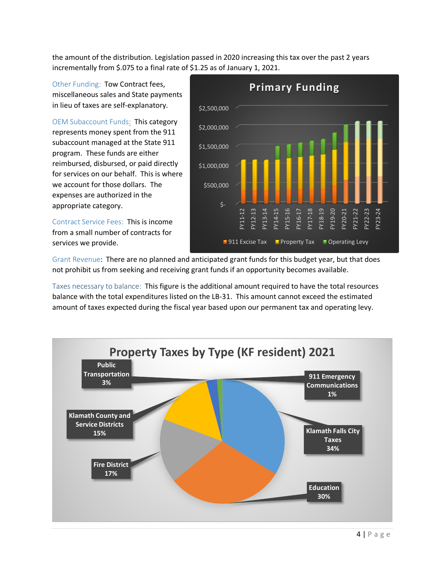the amount of the distribution. Legislation passed in 2020 increasing this tax over the past 2 years incrementally from \$.075 to a final rate of \$1.25 as of January 1, 2021.

Other Funding: Tow Contract fees, miscellaneous sales and State payments in lieu of taxes are self-explanatory.

OEM Subaccount Funds: This category represents money spent from the 911 subaccount managed at the State 911 program. These funds are either reimbursed, disbursed, or paid directly for services on our behalf. This is where we account for those dollars. The expenses are authorized in the appropriate category.

Contract Service Fees: This is income from a small number of contracts for services we provide.



Grant Revenue: There are no planned and anticipated grant funds for this budget year, but that does not prohibit us from seeking and receiving grant funds if an opportunity becomes available.

Taxes necessary to balance: This figure is the additional amount required to have the total resources balance with the total expenditures listed on the LB-31. This amount cannot exceed the estimated amount of taxes expected during the fiscal year based upon our permanent tax and operating levy.

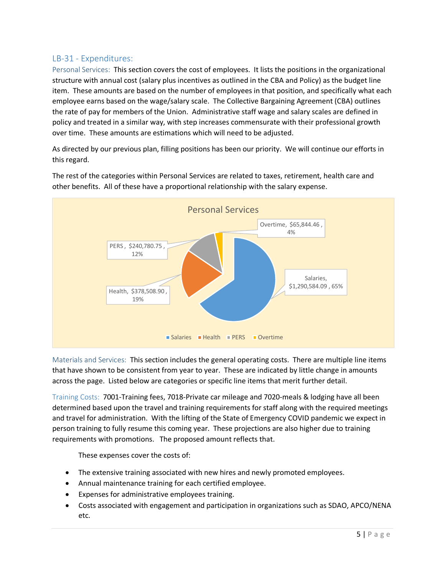# <span id="page-5-0"></span>LB-31 - Expenditures:

Personal Services: This section covers the cost of employees. It lists the positions in the organizational structure with annual cost (salary plus incentives as outlined in the CBA and Policy) as the budget line item. These amounts are based on the number of employees in that position, and specifically what each employee earns based on the wage/salary scale. The Collective Bargaining Agreement (CBA) outlines the rate of pay for members of the Union. Administrative staff wage and salary scales are defined in policy and treated in a similar way, with step increases commensurate with their professional growth over time. These amounts are estimations which will need to be adjusted.

As directed by our previous plan, filling positions has been our priority. We will continue our efforts in this regard.



The rest of the categories within Personal Services are related to taxes, retirement, health care and other benefits. All of these have a proportional relationship with the salary expense.

Materials and Services: This section includes the general operating costs. There are multiple line items that have shown to be consistent from year to year. These are indicated by little change in amounts across the page. Listed below are categories or specific line items that merit further detail.

Training Costs: 7001-Training fees, 7018-Private car mileage and 7020-meals & lodging have all been determined based upon the travel and training requirements for staff along with the required meetings and travel for administration. With the lifting of the State of Emergency COVID pandemic we expect in person training to fully resume this coming year. These projections are also higher due to training requirements with promotions. The proposed amount reflects that.

These expenses cover the costs of:

- The extensive training associated with new hires and newly promoted employees.
- Annual maintenance training for each certified employee.
- Expenses for administrative employees training.
- Costs associated with engagement and participation in organizations such as SDAO, APCO/NENA etc.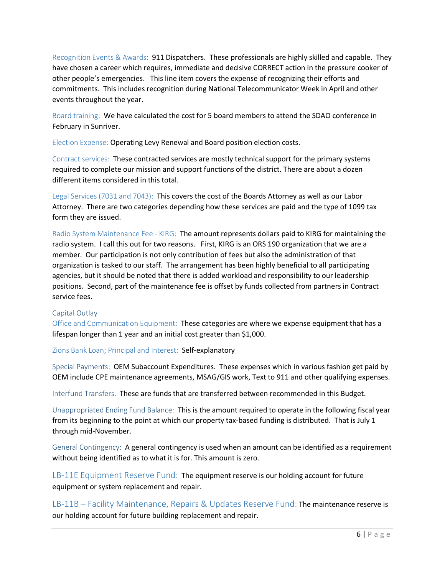Recognition Events & Awards: 911 Dispatchers. These professionals are highly skilled and capable. They have chosen a career which requires, immediate and decisive CORRECT action in the pressure cooker of other people's emergencies. This line item covers the expense of recognizing their efforts and commitments. This includes recognition during National Telecommunicator Week in April and other events throughout the year.

Board training: We have calculated the cost for 5 board members to attend the SDAO conference in February in Sunriver.

Election Expense: Operating Levy Renewal and Board position election costs.

Contract services: These contracted services are mostly technical support for the primary systems required to complete our mission and support functions of the district. There are about a dozen different items considered in this total.

Legal Services (7031 and 7043): This covers the cost of the Boards Attorney as well as our Labor Attorney. There are two categories depending how these services are paid and the type of 1099 tax form they are issued.

Radio System Maintenance Fee - KIRG: The amount represents dollars paid to KIRG for maintaining the radio system. I call this out for two reasons. First, KIRG is an ORS 190 organization that we are a member. Our participation is not only contribution of fees but also the administration of that organization is tasked to our staff. The arrangement has been highly beneficial to all participating agencies, but it should be noted that there is added workload and responsibility to our leadership positions. Second, part of the maintenance fee is offset by funds collected from partners in Contract service fees.

### Capital Outlay

Office and Communication Equipment: These categories are where we expense equipment that has a lifespan longer than 1 year and an initial cost greater than \$1,000.

Zions Bank Loan; Principal and Interest: Self-explanatory

Special Payments: OEM Subaccount Expenditures. These expenses which in various fashion get paid by OEM include CPE maintenance agreements, MSAG/GIS work, Text to 911 and other qualifying expenses.

Interfund Transfers. These are funds that are transferred between recommended in this Budget.

Unappropriated Ending Fund Balance: This is the amount required to operate in the following fiscal year from its beginning to the point at which our property tax-based funding is distributed. That is July 1 through mid-November.

General Contingency: A general contingency is used when an amount can be identified as a requirement without being identified as to what it is for. This amount is zero.

<span id="page-6-0"></span>LB-11E Equipment Reserve Fund: The equipment reserve is our holding account for future equipment or system replacement and repair.

<span id="page-6-1"></span>LB-11B – Facility Maintenance, Repairs & Updates Reserve Fund: The maintenance reserve is our holding account for future building replacement and repair.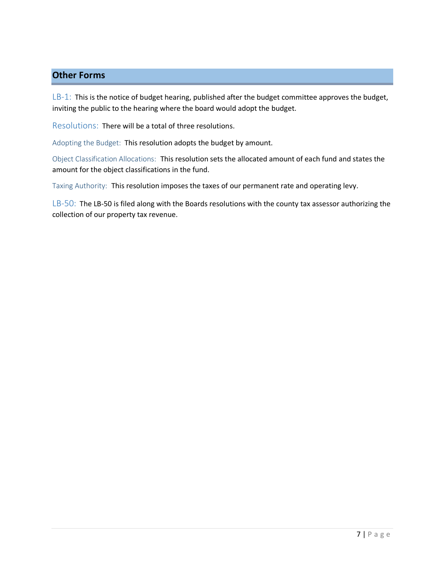# <span id="page-7-0"></span>**Other Forms**

<span id="page-7-1"></span>LB-1: This is the notice of budget hearing, published after the budget committee approves the budget, inviting the public to the hearing where the board would adopt the budget.

<span id="page-7-2"></span>Resolutions: There will be a total of three resolutions.

Adopting the Budget: This resolution adopts the budget by amount.

Object Classification Allocations: This resolution sets the allocated amount of each fund and states the amount for the object classifications in the fund.

Taxing Authority: This resolution imposes the taxes of our permanent rate and operating levy.

<span id="page-7-3"></span>LB-50: The LB-50 is filed along with the Boards resolutions with the county tax assessor authorizing the collection of our property tax revenue.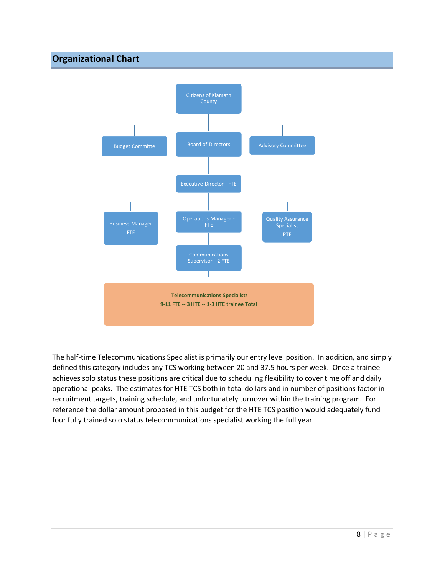# <span id="page-8-0"></span>**Organizational Chart**



The half-time Telecommunications Specialist is primarily our entry level position. In addition, and simply defined this category includes any TCS working between 20 and 37.5 hours per week. Once a trainee achieves solo status these positions are critical due to scheduling flexibility to cover time off and daily operational peaks. The estimates for HTE TCS both in total dollars and in number of positions factor in recruitment targets, training schedule, and unfortunately turnover within the training program. For reference the dollar amount proposed in this budget for the HTE TCS position would adequately fund four fully trained solo status telecommunications specialist working the full year.